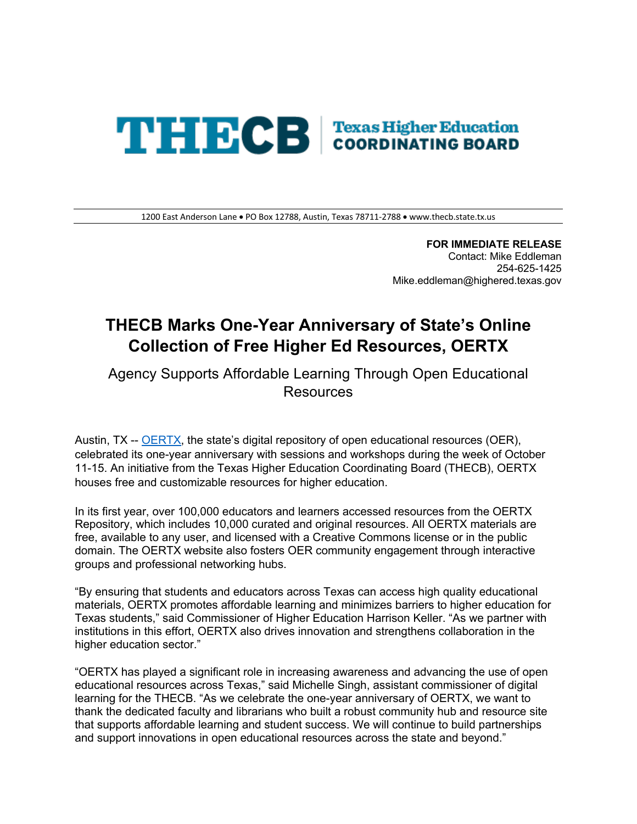## **THECB Texas Higher Education**

1200 East Anderson Lane • PO Box 12788, Austin, Texas 78711-2788 • <www.thecb.state.tx.us>

 Contact: Mike Eddleman **FOR IMMEDIATE RELEASE**  254-625-1425 [Mike.eddleman@highered.texas.gov](mailto:Mike.eddleman@highered.texas.gov) 

## **THECB Marks One-Year Anniversary of State's Online Collection of Free Higher Ed Resources, OERTX**

 Agency Supports Affordable Learning Through Open Educational **Resources** 

Austin, TX -- <u>OERTX,</u> the state's digital repository of open educational resources (OER), celebrated its one-year anniversary with sessions and workshops during the week of October houses free and customizable resources for higher education. 11-15. An initiative from the Texas Higher Education Coordinating Board (THECB), OERTX

 Repository, which includes 10,000 curated and original resources. All OERTX materials are free, available to any user, and licensed with a Creative Commons license or in the public domain. The OERTX website also fosters OER community engagement through interactive In its first year, over 100,000 educators and learners accessed resources from the OERTX groups and professional networking hubs.

 Texas students," said Commissioner of Higher Education Harrison Keller. "As we partner with institutions in this effort, OERTX also drives innovation and strengthens collaboration in the higher education sector." "By ensuring that students and educators across Texas can access high quality educational materials, OERTX promotes affordable learning and minimizes barriers to higher education for

 "OERTX has played a significant role in increasing awareness and advancing the use of open educational resources across Texas," said Michelle Singh, assistant commissioner of digital learning for the THECB. "As we celebrate the one-year anniversary of OERTX, we want to that supports affordable learning and student success. We will continue to build partnerships thank the dedicated faculty and librarians who built a robust community hub and resource site and support innovations in open educational resources across the state and beyond."